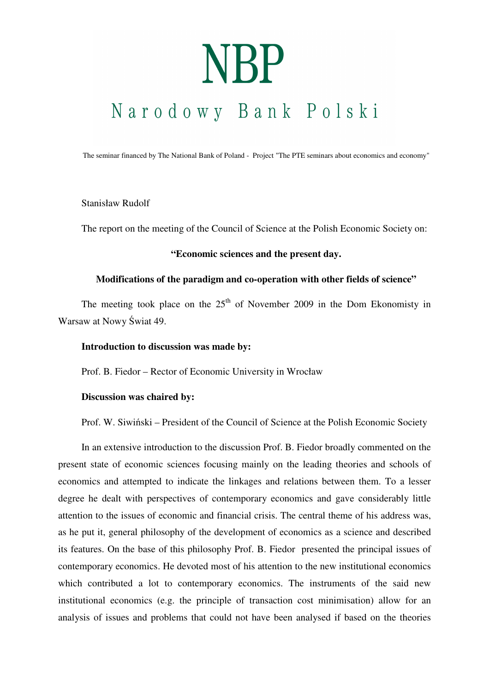# **NBP**

## Narodowy Bank Polski

The seminar financed by The National Bank of Poland - Project "The PTE seminars about economics and economy"

### Stanisław Rudolf

The report on the meeting of the Council of Science at the Polish Economic Society on:

### **"Economic sciences and the present day.**

#### **Modifications of the paradigm and co-operation with other fields of science"**

The meeting took place on the  $25<sup>th</sup>$  of November 2009 in the Dom Ekonomisty in Warsaw at Nowy Świat 49.

### **Introduction to discussion was made by:**

Prof. B. Fiedor – Rector of Economic University in Wrocław

#### **Discussion was chaired by:**

Prof. W. Siwiński – President of the Council of Science at the Polish Economic Society

In an extensive introduction to the discussion Prof. B. Fiedor broadly commented on the present state of economic sciences focusing mainly on the leading theories and schools of economics and attempted to indicate the linkages and relations between them. To a lesser degree he dealt with perspectives of contemporary economics and gave considerably little attention to the issues of economic and financial crisis. The central theme of his address was, as he put it, general philosophy of the development of economics as a science and described its features. On the base of this philosophy Prof. B. Fiedor presented the principal issues of contemporary economics. He devoted most of his attention to the new institutional economics which contributed a lot to contemporary economics. The instruments of the said new institutional economics (e.g. the principle of transaction cost minimisation) allow for an analysis of issues and problems that could not have been analysed if based on the theories